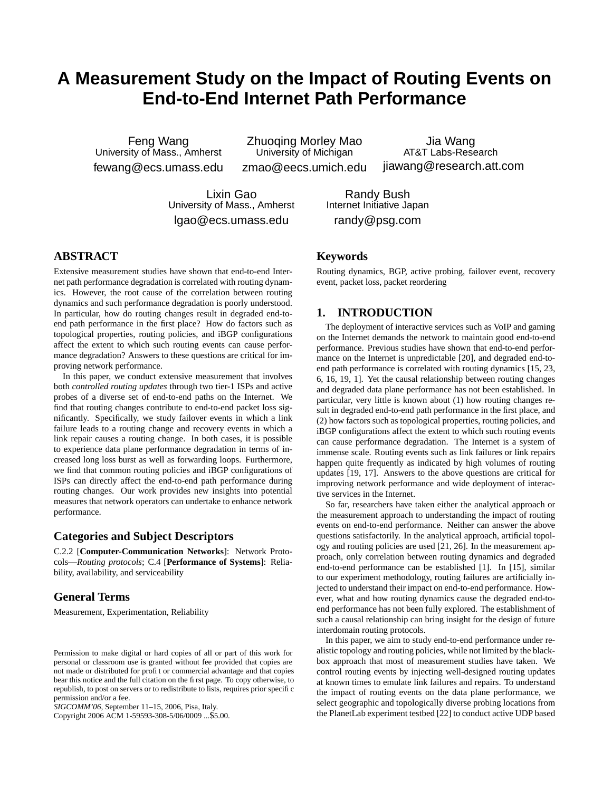# **A Measurement Study on the Impact of Routing Events on End-to-End Internet Path Performance**

Feng Wang University of Mass., Amherst fewang@ecs.umass.edu

Zhuoqing Morley Mao University of Michigan zmao@eecs.umich.edu

Jia Wang AT&T Labs-Research jiawang@research.att.com

Lixin Gao University of Mass., Amherst lgao@ecs.umass.edu

Randy Bush Internet Initiative Japan randy@psg.com

## **ABSTRACT**

Extensive measurement studies have shown that end-to-end Internet path performance degradation is correlated with routing dynamics. However, the root cause of the correlation between routing dynamics and such performance degradation is poorly understood. In particular, how do routing changes result in degraded end-toend path performance in the first place? How do factors such as topological properties, routing policies, and iBGP configurations affect the extent to which such routing events can cause performance degradation? Answers to these questions are critical for improving network performance.

In this paper, we conduct extensive measurement that involves both *controlled routing updates* through two tier-1 ISPs and active probes of a diverse set of end-to-end paths on the Internet. We find that routing changes contribute to end-to-end packet loss significantly. Specifically, we study failover events in which a link failure leads to a routing change and recovery events in which a link repair causes a routing change. In both cases, it is possible to experience data plane performance degradation in terms of increased long loss burst as well as forwarding loops. Furthermore, we find that common routing policies and iBGP configurations of ISPs can directly affect the end-to-end path performance during routing changes. Our work provides new insights into potential measures that network operators can undertake to enhance network performance.

#### **Categories and Subject Descriptors**

C.2.2 [**Computer-Communication Networks**]: Network Protocols—*Routing protocols*; C.4 [**Performance of Systems**]: Reliability, availability, and serviceability

## **General Terms**

Measurement, Experimentation, Reliability

Copyright 2006 ACM 1-59593-308-5/06/0009 ...\$5.00.

#### **Keywords**

Routing dynamics, BGP, active probing, failover event, recovery event, packet loss, packet reordering

# **1. INTRODUCTION**

The deployment of interactive services such as VoIP and gaming on the Internet demands the network to maintain good end-to-end performance. Previous studies have shown that end-to-end performance on the Internet is unpredictable [20], and degraded end-toend path performance is correlated with routing dynamics [15, 23, 6, 16, 19, 1]. Yet the causal relationship between routing changes and degraded data plane performance has not been established. In particular, very little is known about (1) how routing changes result in degraded end-to-end path performance in the first place, and (2) how factors such as topological properties, routing policies, and iBGP configurations affect the extent to which such routing events can cause performance degradation. The Internet is a system of immense scale. Routing events such as link failures or link repairs happen quite frequently as indicated by high volumes of routing updates [19, 17]. Answers to the above questions are critical for improving network performance and wide deployment of interactive services in the Internet.

So far, researchers have taken either the analytical approach or the measurement approach to understanding the impact of routing events on end-to-end performance. Neither can answer the above questions satisfactorily. In the analytical approach, artificial topology and routing policies are used [21, 26]. In the measurement approach, only correlation between routing dynamics and degraded end-to-end performance can be established [1]. In [15], similar to our experiment methodology, routing failures are artificially injected to understand their impact on end-to-end performance. However, what and how routing dynamics cause the degraded end-toend performance has not been fully explored. The establishment of such a causal relationship can bring insight for the design of future interdomain routing protocols.

In this paper, we aim to study end-to-end performance under realistic topology and routing policies, while not limited by the blackbox approach that most of measurement studies have taken. We control routing events by injecting well-designed routing updates at known times to emulate link failures and repairs. To understand the impact of routing events on the data plane performance, we select geographic and topologically diverse probing locations from the PlanetLab experiment testbed [22] to conduct active UDP based

Permission to make digital or hard copies of all or part of this work for personal or classroom use is granted without fee provided that copies are not made or distributed for profit or commercial advantage and that copies bear this notice and the full citation on the first page. To copy otherwise, to republish, to post on servers or to redistribute to lists, requires prior specific permission and/or a fee.

*SIGCOMM'06,* September 11–15, 2006, Pisa, Italy.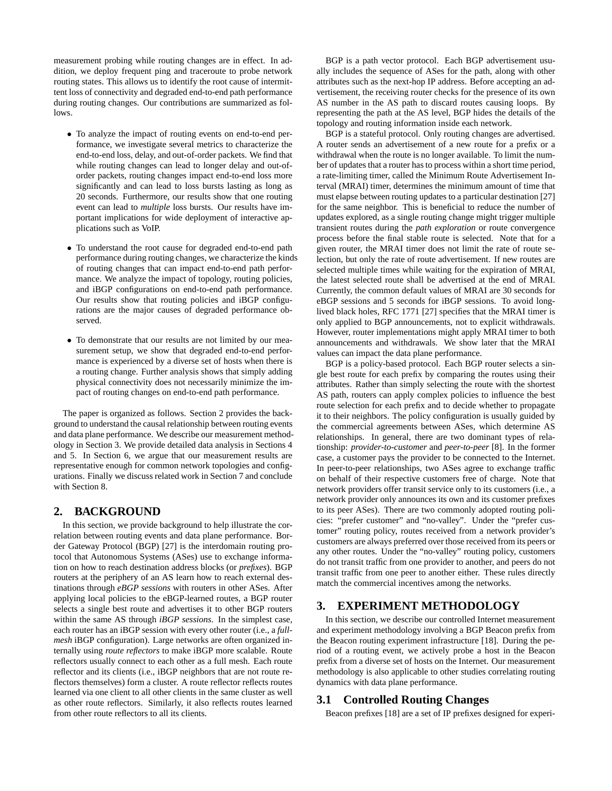measurement probing while routing changes are in effect. In addition, we deploy frequent ping and traceroute to probe network routing states. This allows us to identify the root cause of intermittent loss of connectivity and degraded end-to-end path performance during routing changes. Our contributions are summarized as follows.

- To analyze the impact of routing events on end-to-end performance, we investigate several metrics to characterize the end-to-end loss, delay, and out-of-order packets. We find that while routing changes can lead to longer delay and out-oforder packets, routing changes impact end-to-end loss more significantly and can lead to loss bursts lasting as long as 20 seconds. Furthermore, our results show that one routing event can lead to *multiple* loss bursts. Our results have important implications for wide deployment of interactive applications such as VoIP.
- To understand the root cause for degraded end-to-end path performance during routing changes, we characterize the kinds of routing changes that can impact end-to-end path performance. We analyze the impact of topology, routing policies, and iBGP configurations on end-to-end path performance. Our results show that routing policies and iBGP configurations are the major causes of degraded performance observed.
- To demonstrate that our results are not limited by our measurement setup, we show that degraded end-to-end performance is experienced by a diverse set of hosts when there is a routing change. Further analysis shows that simply adding physical connectivity does not necessarily minimize the impact of routing changes on end-to-end path performance.

The paper is organized as follows. Section 2 provides the background to understand the causal relationship between routing events and data plane performance. We describe our measurement methodology in Section 3. We provide detailed data analysis in Sections 4 and 5. In Section 6, we argue that our measurement results are representative enough for common network topologies and configurations. Finally we discuss related work in Section 7 and conclude with Section 8.

## **2. BACKGROUND**

In this section, we provide background to help illustrate the correlation between routing events and data plane performance. Border Gateway Protocol (BGP) [27] is the interdomain routing protocol that Autonomous Systems (ASes) use to exchange information on how to reach destination address blocks (or *prefixes*). BGP routers at the periphery of an AS learn how to reach external destinations through *eBGP sessions* with routers in other ASes. After applying local policies to the eBGP-learned routes, a BGP router selects a single best route and advertises it to other BGP routers within the same AS through *iBGP sessions*. In the simplest case, each router has an iBGP session with every other router (i.e., a *fullmesh* iBGP configuration). Large networks are often organized internally using *route reflectors* to make iBGP more scalable. Route reflectors usually connect to each other as a full mesh. Each route reflector and its clients (i.e., iBGP neighbors that are not route reflectors themselves) form a cluster. A route reflector reflects routes learned via one client to all other clients in the same cluster as well as other route reflectors. Similarly, it also reflects routes learned from other route reflectors to all its clients.

BGP is a path vector protocol. Each BGP advertisement usually includes the sequence of ASes for the path, along with other attributes such as the next-hop IP address. Before accepting an advertisement, the receiving router checks for the presence of its own AS number in the AS path to discard routes causing loops. By representing the path at the AS level, BGP hides the details of the topology and routing information inside each network.

BGP is a stateful protocol. Only routing changes are advertised. A router sends an advertisement of a new route for a prefix or a withdrawal when the route is no longer available. To limit the number of updates that a router has to process within a short time period, a rate-limiting timer, called the Minimum Route Advertisement Interval (MRAI) timer, determines the minimum amount of time that must elapse between routing updates to a particular destination [27] for the same neighbor. This is beneficial to reduce the number of updates explored, as a single routing change might trigger multiple transient routes during the *path exploration* or route convergence process before the final stable route is selected. Note that for a given router, the MRAI timer does not limit the rate of route selection, but only the rate of route advertisement. If new routes are selected multiple times while waiting for the expiration of MRAI, the latest selected route shall be advertised at the end of MRAI. Currently, the common default values of MRAI are 30 seconds for eBGP sessions and 5 seconds for iBGP sessions. To avoid longlived black holes, RFC 1771 [27] specifies that the MRAI timer is only applied to BGP announcements, not to explicit withdrawals. However, router implementations might apply MRAI timer to both announcements and withdrawals. We show later that the MRAI values can impact the data plane performance.

BGP is a policy-based protocol. Each BGP router selects a single best route for each prefix by comparing the routes using their attributes. Rather than simply selecting the route with the shortest AS path, routers can apply complex policies to influence the best route selection for each prefix and to decide whether to propagate it to their neighbors. The policy configuration is usually guided by the commercial agreements between ASes, which determine AS relationships. In general, there are two dominant types of relationship: *provider-to-customer* and *peer-to-peer* [8]. In the former case, a customer pays the provider to be connected to the Internet. In peer-to-peer relationships, two ASes agree to exchange traffic on behalf of their respective customers free of charge. Note that network providers offer transit service only to its customers (i.e., a network provider only announces its own and its customer prefixes to its peer ASes). There are two commonly adopted routing policies: "prefer customer" and "no-valley". Under the "prefer customer" routing policy, routes received from a network provider's customers are always preferred over those received from its peers or any other routes. Under the "no-valley" routing policy, customers do not transit traffic from one provider to another, and peers do not transit traffic from one peer to another either. These rules directly match the commercial incentives among the networks.

#### **3. EXPERIMENT METHODOLOGY**

In this section, we describe our controlled Internet measurement and experiment methodology involving a BGP Beacon prefix from the Beacon routing experiment infrastructure [18]. During the period of a routing event, we actively probe a host in the Beacon prefix from a diverse set of hosts on the Internet. Our measurement methodology is also applicable to other studies correlating routing dynamics with data plane performance.

## **3.1 Controlled Routing Changes**

Beacon prefixes [18] are a set of IP prefixes designed for experi-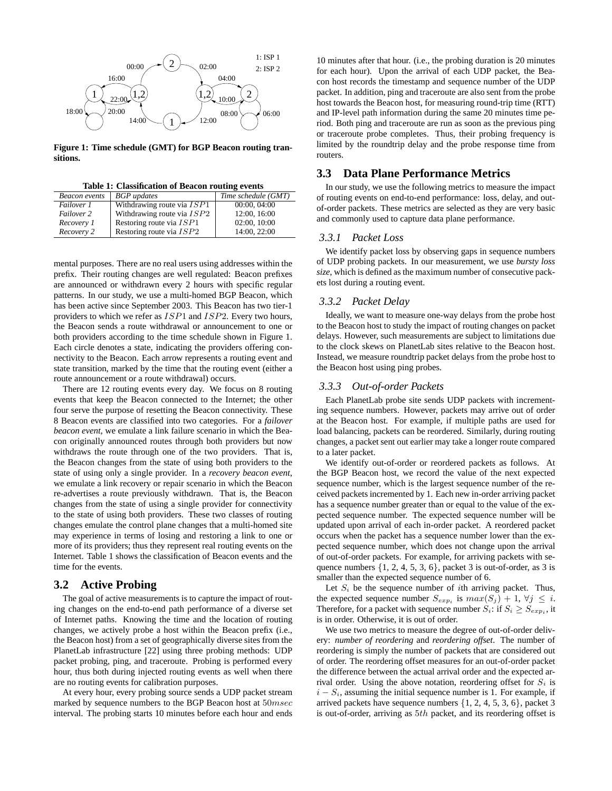

**Figure 1: Time schedule (GMT) for BGP Beacon routing transitions.**

**Table 1: Classification of Beacon routing events**

| Beacon events | <b>BGP</b> updates           | Time schedule (GMT) |
|---------------|------------------------------|---------------------|
| Failover 1    | Withdrawing route via $ISP1$ | 00:00, 04:00        |
| Failover 2    | Withdrawing route via ISP2   | 12:00, 16:00        |
| Recovery 1    | Restoring route via ISP1     | 02:00, 10:00        |
| Recovery 2    | Restoring route via $ISP2$   | 14:00, 22:00        |

mental purposes. There are no real users using addresses within the prefix. Their routing changes are well regulated: Beacon prefixes are announced or withdrawn every 2 hours with specific regular patterns. In our study, we use a multi-homed BGP Beacon, which has been active since September 2003. This Beacon has two tier-1 providers to which we refer as  $ISP1$  and  $ISP2$ . Every two hours, the Beacon sends a route withdrawal or announcement to one or both providers according to the time schedule shown in Figure 1. Each circle denotes a state, indicating the providers offering connectivity to the Beacon. Each arrow represents a routing event and state transition, marked by the time that the routing event (either a route announcement or a route withdrawal) occurs.

There are 12 routing events every day. We focus on 8 routing events that keep the Beacon connected to the Internet; the other four serve the purpose of resetting the Beacon connectivity. These 8 Beacon events are classified into two categories. For a *failover beacon event*, we emulate a link failure scenario in which the Beacon originally announced routes through both providers but now withdraws the route through one of the two providers. That is, the Beacon changes from the state of using both providers to the state of using only a single provider. In a *recovery beacon event*, we emulate a link recovery or repair scenario in which the Beacon re-advertises a route previously withdrawn. That is, the Beacon changes from the state of using a single provider for connectivity to the state of using both providers. These two classes of routing changes emulate the control plane changes that a multi-homed site may experience in terms of losing and restoring a link to one or more of its providers; thus they represent real routing events on the Internet. Table 1 shows the classification of Beacon events and the time for the events.

#### **3.2 Active Probing**

The goal of active measurements is to capture the impact of routing changes on the end-to-end path performance of a diverse set of Internet paths. Knowing the time and the location of routing changes, we actively probe a host within the Beacon prefix (i.e., the Beacon host) from a set of geographically diverse sites from the PlanetLab infrastructure [22] using three probing methods: UDP packet probing, ping, and traceroute. Probing is performed every hour, thus both during injected routing events as well when there are no routing events for calibration purposes.

At every hour, every probing source sends a UDP packet stream marked by sequence numbers to the BGP Beacon host at 50msec interval. The probing starts 10 minutes before each hour and ends

10 minutes after that hour. (i.e., the probing duration is 20 minutes for each hour). Upon the arrival of each UDP packet, the Beacon host records the timestamp and sequence number of the UDP packet. In addition, ping and traceroute are also sent from the probe host towards the Beacon host, for measuring round-trip time (RTT) and IP-level path information during the same 20 minutes time period. Both ping and traceroute are run as soon as the previous ping or traceroute probe completes. Thus, their probing frequency is limited by the roundtrip delay and the probe response time from routers.

#### **3.3 Data Plane Performance Metrics**

In our study, we use the following metrics to measure the impact of routing events on end-to-end performance: loss, delay, and outof-order packets. These metrics are selected as they are very basic and commonly used to capture data plane performance.

#### *3.3.1 Packet Loss*

We identify packet loss by observing gaps in sequence numbers of UDP probing packets. In our measurement, we use *bursty loss size*, which is defined as the maximum number of consecutive packets lost during a routing event.

#### *3.3.2 Packet Delay*

Ideally, we want to measure one-way delays from the probe host to the Beacon host to study the impact of routing changes on packet delays. However, such measurements are subject to limitations due to the clock skews on PlanetLab sites relative to the Beacon host. Instead, we measure roundtrip packet delays from the probe host to the Beacon host using ping probes.

#### *3.3.3 Out-of-order Packets*

Each PlanetLab probe site sends UDP packets with incrementing sequence numbers. However, packets may arrive out of order at the Beacon host. For example, if multiple paths are used for load balancing, packets can be reordered. Similarly, during routing changes, a packet sent out earlier may take a longer route compared to a later packet.

We identify out-of-order or reordered packets as follows. At the BGP Beacon host, we record the value of the next expected sequence number, which is the largest sequence number of the received packetsincremented by 1. Each new in-order arriving packet has a sequence number greater than or equal to the value of the expected sequence number. The expected sequence number will be updated upon arrival of each in-order packet. A reordered packet occurs when the packet has a sequence number lower than the expected sequence number, which does not change upon the arrival of out-of-order packets. For example, for arriving packets with sequence numbers  $\{1, 2, 4, 5, 3, 6\}$ , packet 3 is out-of-order, as 3 is smaller than the expected sequence number of 6.

Let  $S_i$  be the sequence number of *i*th arriving packet. Thus, the expected sequence number  $S_{exp_i}$  is  $max(S_j) + 1, \forall j \leq i$ . Therefore, for a packet with sequence number  $S_i$ : if  $S_i \geq S_{exp_i}$ , it is in order. Otherwise, it is out of order.

We use two metrics to measure the degree of out-of-order delivery: *number of reordering* and *reordering offset*. The number of reordering is simply the number of packets that are considered out of order. The reordering offset measures for an out-of-order packet the difference between the actual arrival order and the expected arrival order. Using the above notation, reordering offset for  $S_i$  is  $i - S_i$ , assuming the initial sequence number is 1. For example, if arrived packets have sequence numbers  $\{1, 2, 4, 5, 3, 6\}$ , packet 3 is out-of-order, arriving as 5th packet, and its reordering offset is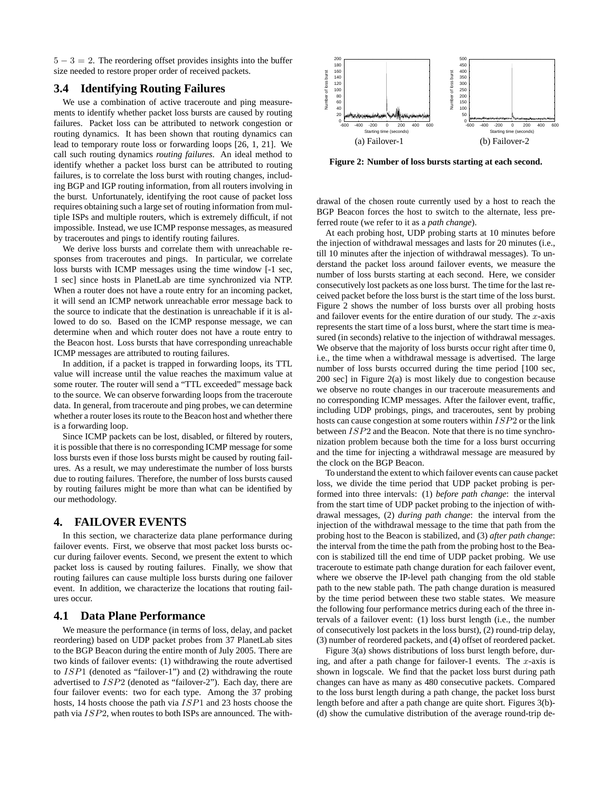$5 - 3 = 2$ . The reordering offset provides insights into the buffer size needed to restore proper order of received packets.

## **3.4 Identifying Routing Failures**

We use a combination of active traceroute and ping measurements to identify whether packet loss bursts are caused by routing failures. Packet loss can be attributed to network congestion or routing dynamics. It has been shown that routing dynamics can lead to temporary route loss or forwarding loops [26, 1, 21]. We call such routing dynamics *routing failures*. An ideal method to identify whether a packet loss burst can be attributed to routing failures, is to correlate the loss burst with routing changes, including BGP and IGP routing information, from all routers involving in the burst. Unfortunately, identifying the root cause of packet loss requires obtaining such a large set of routing information from multiple ISPs and multiple routers, which is extremely difficult, if not impossible. Instead, we use ICMP response messages, as measured by traceroutes and pings to identify routing failures.

We derive loss bursts and correlate them with unreachable responses from traceroutes and pings. In particular, we correlate loss bursts with ICMP messages using the time window [-1 sec, 1 sec] since hosts in PlanetLab are time synchronized via NTP. When a router does not have a route entry for an incoming packet, it will send an ICMP network unreachable error message back to the source to indicate that the destination is unreachable if it is allowed to do so. Based on the ICMP response message, we can determine when and which router does not have a route entry to the Beacon host. Loss bursts that have corresponding unreachable ICMP messages are attributed to routing failures.

In addition, if a packet is trapped in forwarding loops, its TTL value will increase until the value reaches the maximum value at some router. The router will send a "TTL exceeded" message back to the source. We can observe forwarding loops from the traceroute data. In general, from traceroute and ping probes, we can determine whether a router loses its route to the Beacon host and whether there is a forwarding loop.

Since ICMP packets can be lost, disabled, or filtered by routers, it is possible that there is no corresponding ICMP message for some loss bursts even if those loss bursts might be caused by routing failures. As a result, we may underestimate the number of loss bursts due to routing failures. Therefore, the number of loss bursts caused by routing failures might be more than what can be identified by our methodology.

#### **4. FAILOVER EVENTS**

In this section, we characterize data plane performance during failover events. First, we observe that most packet loss bursts occur during failover events. Second, we present the extent to which packet loss is caused by routing failures. Finally, we show that routing failures can cause multiple loss bursts during one failover event. In addition, we characterize the locations that routing failures occur.

#### **4.1 Data Plane Performance**

We measure the performance (in terms of loss, delay, and packet reordering) based on UDP packet probes from 37 PlanetLab sites to the BGP Beacon during the entire month of July 2005. There are two kinds of failover events: (1) withdrawing the route advertised to ISP1 (denoted as "failover-1") and (2) withdrawing the route advertised to ISP2 (denoted as "failover-2"). Each day, there are four failover events: two for each type. Among the 37 probing hosts, 14 hosts choose the path via ISP1 and 23 hosts choose the path via ISP2, when routes to both ISPs are announced. The with-



**Figure 2: Number of loss bursts starting at each second.**

drawal of the chosen route currently used by a host to reach the BGP Beacon forces the host to switch to the alternate, less preferred route (we refer to it as a *path change*).

At each probing host, UDP probing starts at 10 minutes before the injection of withdrawal messages and lasts for 20 minutes (i.e., till 10 minutes after the injection of withdrawal messages). To understand the packet loss around failover events, we measure the number of loss bursts starting at each second. Here, we consider consecutively lost packets as one loss burst. The time for the last received packet before the loss burst is the start time of the loss burst. Figure 2 shows the number of loss bursts over all probing hosts and failover events for the entire duration of our study. The  $x$ -axis represents the start time of a loss burst, where the start time is measured (in seconds) relative to the injection of withdrawal messages. We observe that the majority of loss bursts occur right after time 0, i.e., the time when a withdrawal message is advertised. The large number of loss bursts occurred during the time period [100 sec, 200 sec] in Figure 2(a) is most likely due to congestion because we observe no route changes in our traceroute measurements and no corresponding ICMP messages. After the failover event, traffic, including UDP probings, pings, and traceroutes, sent by probing hosts can cause congestion at some routers within ISP2 or the link between ISP2 and the Beacon. Note that there is no time synchronization problem because both the time for a loss burst occurring and the time for injecting a withdrawal message are measured by the clock on the BGP Beacon.

To understand the extent to which failover events can cause packet loss, we divide the time period that UDP packet probing is performed into three intervals: (1) *before path change*: the interval from the start time of UDP packet probing to the injection of withdrawal messages, (2) *during path change*: the interval from the injection of the withdrawal message to the time that path from the probing host to the Beacon is stabilized, and (3) *after path change*: the interval from the time the path from the probing host to the Beacon is stabilized till the end time of UDP packet probing. We use traceroute to estimate path change duration for each failover event, where we observe the IP-level path changing from the old stable path to the new stable path. The path change duration is measured by the time period between these two stable states. We measure the following four performance metrics during each of the three intervals of a failover event: (1) loss burst length (i.e., the number of consecutively lost packets in the loss burst), (2) round-trip delay, (3) number of reordered packets, and (4) offset of reordered packet.

Figure 3(a) shows distributions of loss burst length before, during, and after a path change for failover-1 events. The  $x$ -axis is shown in logscale. We find that the packet loss burst during path changes can have as many as 480 consecutive packets. Compared to the loss burst length during a path change, the packet loss burst length before and after a path change are quite short. Figures 3(b)- (d) show the cumulative distribution of the average round-trip de-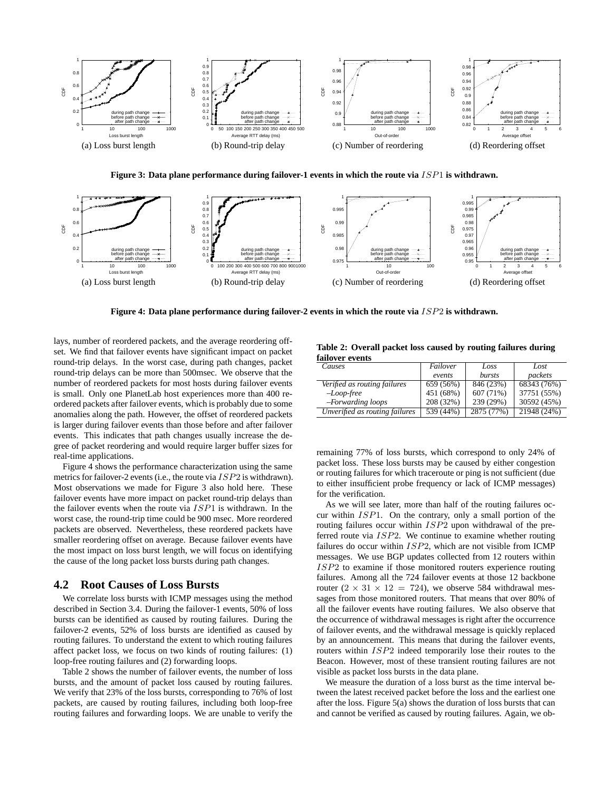

**Figure 3: Data plane performance during failover-1 events in which the route via** ISP1 **is withdrawn.**



**Figure 4: Data plane performance during failover-2 events in which the route via** ISP2 **is withdrawn.**

lays, number of reordered packets, and the average reordering offset. We find that failover events have significant impact on packet round-trip delays. In the worst case, during path changes, packet round-trip delays can be more than 500msec. We observe that the number of reordered packets for most hosts during failover events is small. Only one PlanetLab host experiences more than 400 reordered packets after failover events, which is probably due to some anomalies along the path. However, the offset of reordered packets is larger during failover events than those before and after failover events. This indicates that path changes usually increase the degree of packet reordering and would require larger buffer sizes for real-time applications.

Figure 4 shows the performance characterization using the same metrics for failover-2 events (i.e., the route via  $ISP2$  is withdrawn). Most observations we made for Figure 3 also hold here. These failover events have more impact on packet round-trip delays than the failover events when the route via  $ISP1$  is withdrawn. In the worst case, the round-trip time could be 900 msec. More reordered packets are observed. Nevertheless, these reordered packets have smaller reordering offset on average. Because failover events have the most impact on loss burst length, we will focus on identifying the cause of the long packet loss bursts during path changes.

#### **4.2 Root Causes of Loss Bursts**

We correlate loss bursts with ICMP messages using the method described in Section 3.4. During the failover-1 events, 50% of loss bursts can be identified as caused by routing failures. During the failover-2 events, 52% of loss bursts are identified as caused by routing failures. To understand the extent to which routing failures affect packet loss, we focus on two kinds of routing failures: (1) loop-free routing failures and (2) forwarding loops.

Table 2 shows the number of failover events, the number of loss bursts, and the amount of packet loss caused by routing failures. We verify that 23% of the loss bursts, corresponding to 76% of lost packets, are caused by routing failures, including both loop-free routing failures and forwarding loops. We are unable to verify the

**Table 2: Overall packet loss caused by routing failures during failover events**

| Causes                         | Failover  | Loss          | Lost        |
|--------------------------------|-----------|---------------|-------------|
|                                | events    | <i>bursts</i> | packets     |
| Verified as routing failures   | 659 (56%) | 846 (23%)     | 68343 (76%) |
| $-Loop-free$                   | 451 (68%) | 607 (71%)     | 37751 (55%) |
| -Forwarding loops              | 208 (32%) | 239 (29%)     | 30592 (45%) |
| Unverified as routing failures | 539 (44%) | 2875(77%)     | 21948 (24%) |

remaining 77% of loss bursts, which correspond to only 24% of packet loss. These loss bursts may be caused by either congestion or routing failures for which traceroute or ping is not sufficient (due to either insufficient probe frequency or lack of ICMP messages) for the verification.

As we will see later, more than half of the routing failures occur within ISP1. On the contrary, only a small portion of the routing failures occur within ISP2 upon withdrawal of the preferred route via ISP2. We continue to examine whether routing failures do occur within ISP2, which are not visible from ICMP messages. We use BGP updates collected from 12 routers within ISP2 to examine if those monitored routers experience routing failures. Among all the 724 failover events at those 12 backbone router  $(2 \times 31 \times 12 = 724)$ , we observe 584 withdrawal messages from those monitored routers. That means that over 80% of all the failover events have routing failures. We also observe that the occurrence of withdrawal messages is right after the occurrence of failover events, and the withdrawal message is quickly replaced by an announcement. This means that during the failover events, routers within ISP2 indeed temporarily lose their routes to the Beacon. However, most of these transient routing failures are not visible as packet loss bursts in the data plane.

We measure the duration of a loss burst as the time interval between the latest received packet before the loss and the earliest one after the loss. Figure 5(a) shows the duration of loss bursts that can and cannot be verified as caused by routing failures. Again, we ob-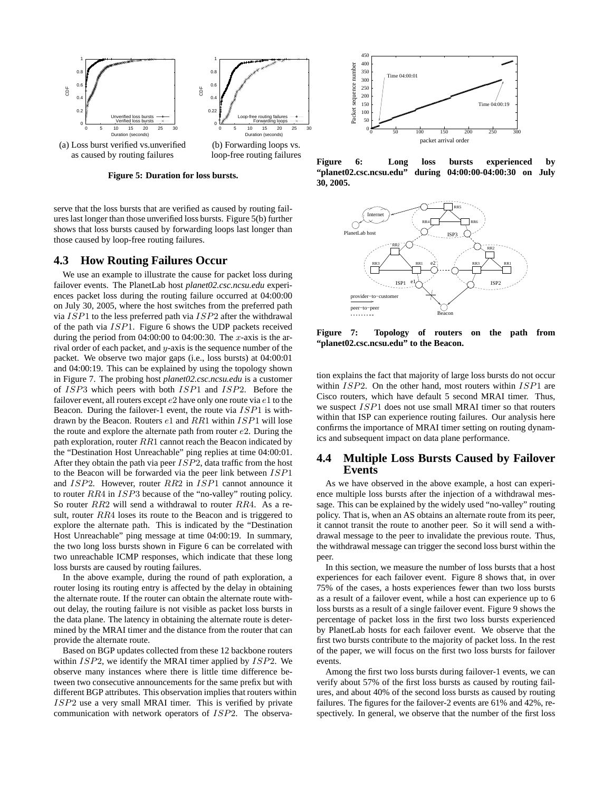

**Figure 5: Duration for loss bursts.**

serve that the loss bursts that are verified as caused by routing failures last longer than those unverified loss bursts. Figure 5(b) further shows that loss bursts caused by forwarding loops last longer than those caused by loop-free routing failures.

#### **4.3 How Routing Failures Occur**

We use an example to illustrate the cause for packet loss during failover events. The PlanetLab host *planet02.csc.ncsu.edu* experiences packet loss during the routing failure occurred at 04:00:00 on July 30, 2005, where the host switches from the preferred path via  $ISP1$  to the less preferred path via  $ISP2$  after the withdrawal of the path via ISP1. Figure 6 shows the UDP packets received during the period from  $04:00:00$  to  $04:00:30$ . The x-axis is the arrival order of each packet, and  $y$ -axis is the sequence number of the packet. We observe two major gaps (i.e., loss bursts) at 04:00:01 and 04:00:19. This can be explained by using the topology shown in Figure 7. The probing host *planet02.csc.ncsu.edu* is a customer of ISP3 which peers with both ISP1 and ISP2. Before the failover event, all routers except  $e2$  have only one route via  $e1$  to the Beacon. During the failover-1 event, the route via ISP1 is withdrawn by the Beacon. Routers  $e1$  and  $RR1$  within  $ISP1$  will lose the route and explore the alternate path from router e2. During the path exploration, router RR1 cannot reach the Beacon indicated by the "Destination Host Unreachable" ping replies at time 04:00:01. After they obtain the path via peer  $ISP2$ , data traffic from the host to the Beacon will be forwarded via the peer link between ISP1 and ISP2. However, router RR2 in ISP1 cannot announce it to router RR4 in ISP3 because of the "no-valley" routing policy. So router RR2 will send a withdrawal to router RR4. As a result, router RR4 loses its route to the Beacon and is triggered to explore the alternate path. This is indicated by the "Destination Host Unreachable" ping message at time 04:00:19. In summary, the two long loss bursts shown in Figure 6 can be correlated with two unreachable ICMP responses, which indicate that these long loss bursts are caused by routing failures.

In the above example, during the round of path exploration, a router losing its routing entry is affected by the delay in obtaining the alternate route. If the router can obtain the alternate route without delay, the routing failure is not visible as packet loss bursts in the data plane. The latency in obtaining the alternate route is determined by the MRAI timer and the distance from the router that can provide the alternate route.

Based on BGP updates collected from these 12 backbone routers within  $ISP2$ , we identify the MRAI timer applied by  $ISP2$ . We observe many instances where there is little time difference between two consecutive announcements for the same prefix but with different BGP attributes. This observation implies that routers within ISP2 use a very small MRAI timer. This is verified by private communication with network operators of ISP2. The observa-



**Figure 6: Long loss bursts experienced by "planet02.csc.ncsu.edu" during 04:00:00-04:00:30 on July 30, 2005.**



**Figure 7: Topology of routers on the path from "planet02.csc.ncsu.edu" to the Beacon.**

tion explains the fact that majority of large loss bursts do not occur within ISP2. On the other hand, most routers within ISP1 are Cisco routers, which have default 5 second MRAI timer. Thus, we suspect ISP1 does not use small MRAI timer so that routers within that ISP can experience routing failures. Our analysis here confirms the importance of MRAI timer setting on routing dynamics and subsequent impact on data plane performance.

#### **4.4 Multiple Loss Bursts Caused by Failover Events**

As we have observed in the above example, a host can experience multiple loss bursts after the injection of a withdrawal message. This can be explained by the widely used "no-valley" routing policy. That is, when an AS obtains an alternate route from its peer, it cannot transit the route to another peer. So it will send a withdrawal message to the peer to invalidate the previous route. Thus, the withdrawal message can trigger the second loss burst within the peer.

In this section, we measure the number of loss bursts that a host experiences for each failover event. Figure 8 shows that, in over 75% of the cases, a hosts experiences fewer than two loss bursts as a result of a failover event, while a host can experience up to 6 loss bursts as a result of a single failover event. Figure 9 shows the percentage of packet loss in the first two loss bursts experienced by PlanetLab hosts for each failover event. We observe that the first two bursts contribute to the majority of packet loss. In the rest of the paper, we will focus on the first two loss bursts for failover events.

Among the first two loss bursts during failover-1 events, we can verify about 57% of the first loss bursts as caused by routing failures, and about 40% of the second loss bursts as caused by routing failures. The figures for the failover-2 events are 61% and 42%, respectively. In general, we observe that the number of the first loss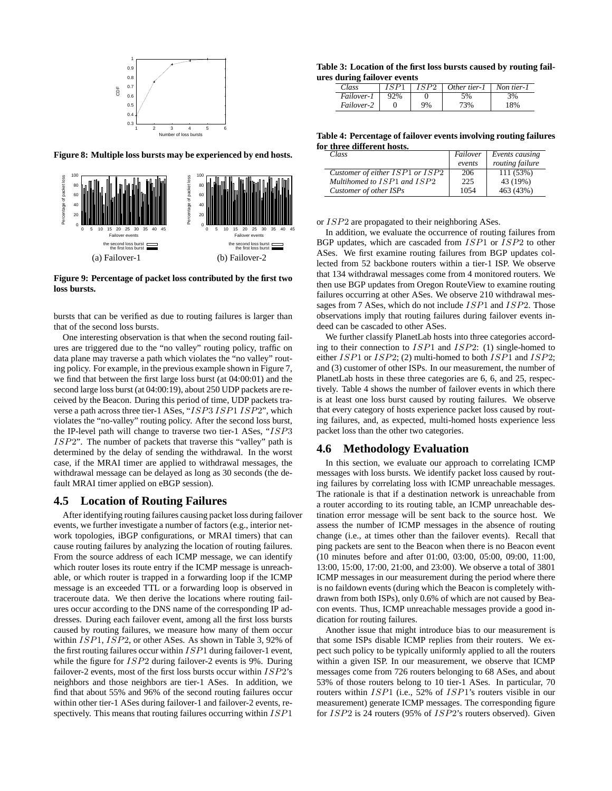

**Figure 8: Multiple loss bursts may be experienced by end hosts.**



**Figure 9: Percentage of packet loss contributed by the first two loss bursts.**

bursts that can be verified as due to routing failures is larger than that of the second loss bursts.

One interesting observation is that when the second routing failures are triggered due to the "no valley" routing policy, traffic on data plane may traverse a path which violates the "no valley" routing policy. For example, in the previous example shown in Figure 7, we find that between the first large loss burst (at 04:00:01) and the second large loss burst (at 04:00:19), about 250 UDP packets are received by the Beacon. During this period of time, UDP packets traverse a path across three tier-1 ASes, "ISP3 ISP1 ISP2", which violates the "no-valley" routing policy. After the second loss burst, the IP-level path will change to traverse two tier-1 ASes, "ISP3 ISP2". The number of packets that traverse this "valley" path is determined by the delay of sending the withdrawal. In the worst case, if the MRAI timer are applied to withdrawal messages, the withdrawal message can be delayed as long as 30 seconds (the default MRAI timer applied on eBGP session).

#### **4.5 Location of Routing Failures**

After identifying routing failures causing packet loss during failover events, we further investigate a number of factors (e.g., interior network topologies, iBGP configurations, or MRAI timers) that can cause routing failures by analyzing the location of routing failures. From the source address of each ICMP message, we can identify which router loses its route entry if the ICMP message is unreachable, or which router is trapped in a forwarding loop if the ICMP message is an exceeded TTL or a forwarding loop is observed in traceroute data. We then derive the locations where routing failures occur according to the DNS name of the corresponding IP addresses. During each failover event, among all the first loss bursts caused by routing failures, we measure how many of them occur within  $ISP1, ISP2$ , or other ASes. As shown in Table 3, 92% of the first routing failures occur within  $ISP1$  during failover-1 event, while the figure for  $ISP2$  during failover-2 events is 9%. During failover-2 events, most of the first loss bursts occur within ISP2's neighbors and those neighbors are tier-1 ASes. In addition, we find that about 55% and 96% of the second routing failures occur within other tier-1 ASes during failover-1 and failover-2 events, respectively. This means that routing failures occurring within  $ISP1$ 

| Table 3: Location of the first loss bursts caused by routing fail- |  |  |
|--------------------------------------------------------------------|--|--|
| ures during failover events                                        |  |  |

| Class      |     | CD <sub>2</sub> | Other tier-1 | Non tier-1 |
|------------|-----|-----------------|--------------|------------|
| Failover-1 | 92% |                 | 5%           | 3%         |
| Failover-2 |     | 9%              |              | 18%        |

**Table 4: Percentage of failover events involving routing failures for three different hosts.**

| Class                           | Failover | Events causing  |
|---------------------------------|----------|-----------------|
|                                 | events   | routing failure |
| Customer of either ISP1 or ISP2 | 206      | 111 (53%)       |
| Multihomed to $ISP1$ and $ISP2$ | 225      | 43 (19%)        |
| Customer of other ISPs          | 1054     | 463 (43%)       |

or ISP2 are propagated to their neighboring ASes.

In addition, we evaluate the occurrence of routing failures from BGP updates, which are cascaded from ISP1 or ISP2 to other ASes. We first examine routing failures from BGP updates collected from 52 backbone routers within a tier-1 ISP. We observe that 134 withdrawal messages come from 4 monitored routers. We then use BGP updates from Oregon RouteView to examine routing failures occurring at other ASes. We observe 210 withdrawal messages from 7 ASes, which do not include *ISP*1 and *ISP*2. Those observations imply that routing failures during failover events indeed can be cascaded to other ASes.

We further classify PlanetLab hosts into three categories according to their connection to  $ISP1$  and  $ISP2$ : (1) single-homed to either  $ISP1$  or  $ISP2$ ; (2) multi-homed to both  $ISP1$  and  $ISP2$ ; and (3) customer of other ISPs. In our measurement, the number of PlanetLab hosts in these three categories are 6, 6, and 25, respectively. Table 4 shows the number of failover events in which there is at least one loss burst caused by routing failures. We observe that every category of hosts experience packet loss caused by routing failures, and, as expected, multi-homed hosts experience less packet loss than the other two categories.

#### **4.6 Methodology Evaluation**

In this section, we evaluate our approach to correlating ICMP messages with loss bursts. We identify packet loss caused by routing failures by correlating loss with ICMP unreachable messages. The rationale is that if a destination network is unreachable from a router according to its routing table, an ICMP unreachable destination error message will be sent back to the source host. We assess the number of ICMP messages in the absence of routing change (i.e., at times other than the failover events). Recall that ping packets are sent to the Beacon when there is no Beacon event (10 minutes before and after 01:00, 03:00, 05:00, 09:00, 11:00, 13:00, 15:00, 17:00, 21:00, and 23:00). We observe a total of 3801 ICMP messages in our measurement during the period where there is no faildown events (during which the Beacon is completely withdrawn from both ISPs), only 0.6% of which are not caused by Beacon events. Thus, ICMP unreachable messages provide a good indication for routing failures.

Another issue that might introduce bias to our measurement is that some ISPs disable ICMP replies from their routers. We expect such policy to be typically uniformly applied to all the routers within a given ISP. In our measurement, we observe that ICMP messages come from 726 routers belonging to 68 ASes, and about 53% of those routers belong to 10 tier-1 ASes. In particular, 70 routers within ISP1 (i.e., 52% of ISP1's routers visible in our measurement) generate ICMP messages. The corresponding figure for ISP2 is 24 routers (95% of ISP2's routers observed). Given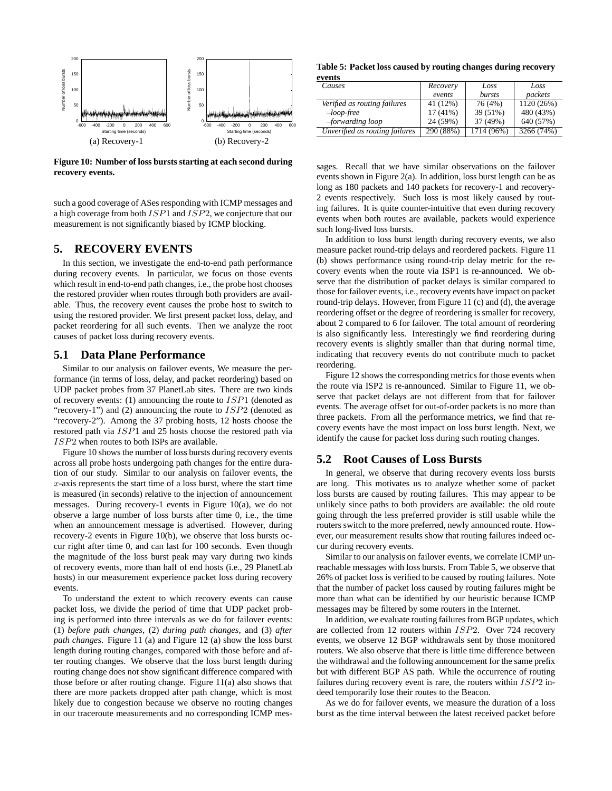

**Figure 10: Number of loss burstsstarting at each second during recovery events.**

such a good coverage of ASes responding with ICMP messages and a high coverage from both ISP1 and ISP2, we conjecture that our measurement is not significantly biased by ICMP blocking.

### **5. RECOVERY EVENTS**

In this section, we investigate the end-to-end path performance during recovery events. In particular, we focus on those events which result in end-to-end path changes, i.e., the probe host chooses the restored provider when routes through both providers are available. Thus, the recovery event causes the probe host to switch to using the restored provider. We first present packet loss, delay, and packet reordering for all such events. Then we analyze the root causes of packet loss during recovery events.

#### **5.1 Data Plane Performance**

Similar to our analysis on failover events, We measure the performance (in terms of loss, delay, and packet reordering) based on UDP packet probes from 37 PlanetLab sites. There are two kinds of recovery events: (1) announcing the route to  $ISP1$  (denoted as "recovery-1") and (2) announcing the route to  $ISP2$  (denoted as "recovery-2"). Among the 37 probing hosts, 12 hosts choose the restored path via ISP1 and 25 hosts choose the restored path via ISP2 when routes to both ISPs are available.

Figure 10 shows the number of loss bursts during recovery events across all probe hosts undergoing path changes for the entire duration of our study. Similar to our analysis on failover events, the  $x$ -axis represents the start time of a loss burst, where the start time is measured (in seconds) relative to the injection of announcement messages. During recovery-1 events in Figure 10(a), we do not observe a large number of loss bursts after time 0, i.e., the time when an announcement message is advertised. However, during recovery-2 events in Figure 10(b), we observe that loss bursts occur right after time 0, and can last for 100 seconds. Even though the magnitude of the loss burst peak may vary during two kinds of recovery events, more than half of end hosts (i.e., 29 PlanetLab hosts) in our measurement experience packet loss during recovery events.

To understand the extent to which recovery events can cause packet loss, we divide the period of time that UDP packet probing is performed into three intervals as we do for failover events: (1) *before path changes*, (2) *during path changes*, and (3) *after path changes*. Figure 11 (a) and Figure 12 (a) show the loss burst length during routing changes, compared with those before and after routing changes. We observe that the loss burst length during routing change does not show significant difference compared with those before or after routing change. Figure 11(a) also shows that there are more packets dropped after path change, which is most likely due to congestion because we observe no routing changes in our traceroute measurements and no corresponding ICMP mes-

**Table 5: Packet loss caused by routing changes during recovery**

| events                         |            |            |            |
|--------------------------------|------------|------------|------------|
| Causes                         | Recovery   | Loss       | Loss       |
|                                | events     | bursts     | packets    |
| Verified as routing failures   | 41 (12%)   | 76 (4%)    | 1120 (26%) |
| $-loop-free$                   | $17(41\%)$ | 39 (51%)   | 480 (43%)  |
| -forwarding loop               | 24 (59%)   | 37 (49%)   | 640 (57%)  |
| Unverified as routing failures | 290 (88%)  | 1714 (96%) | 3266 (74%) |

sages. Recall that we have similar observations on the failover events shown in Figure 2(a). In addition, loss burst length can be as long as 180 packets and 140 packets for recovery-1 and recovery-2 events respectively. Such loss is most likely caused by routing failures. It is quite counter-intuitive that even during recovery events when both routes are available, packets would experience such long-lived loss bursts.

In addition to loss burst length during recovery events, we also measure packet round-trip delays and reordered packets. Figure 11 (b) shows performance using round-trip delay metric for the recovery events when the route via ISP1 is re-announced. We observe that the distribution of packet delays is similar compared to those for failover events, i.e., recovery events have impact on packet round-trip delays. However, from Figure 11 (c) and (d), the average reordering offset or the degree of reordering is smaller for recovery, about 2 compared to 6 for failover. The total amount of reordering is also significantly less. Interestingly we find reordering during recovery events is slightly smaller than that during normal time, indicating that recovery events do not contribute much to packet reordering.

Figure 12 shows the corresponding metrics for those events when the route via ISP2 is re-announced. Similar to Figure 11, we observe that packet delays are not different from that for failover events. The average offset for out-of-order packets is no more than three packets. From all the performance metrics, we find that recovery events have the most impact on loss burst length. Next, we identify the cause for packet loss during such routing changes.

#### **5.2 Root Causes of Loss Bursts**

In general, we observe that during recovery events loss bursts are long. This motivates us to analyze whether some of packet loss bursts are caused by routing failures. This may appear to be unlikely since paths to both providers are available: the old route going through the less preferred provider is still usable while the routers switch to the more preferred, newly announced route. However, our measurement results show that routing failures indeed occur during recovery events.

Similar to our analysis on failover events, we correlate ICMP unreachable messages with loss bursts. From Table 5, we observe that 26% of packet loss is verified to be caused by routing failures. Note that the number of packet loss caused by routing failures might be more than what can be identified by our heuristic because ICMP messages may be filtered by some routers in the Internet.

In addition, we evaluate routing failures from BGP updates, which are collected from 12 routers within ISP2. Over 724 recovery events, we observe 12 BGP withdrawals sent by those monitored routers. We also observe that there is little time difference between the withdrawal and the following announcement for the same prefix but with different BGP AS path. While the occurrence of routing failures during recovery event is rare, the routers within  $ISP2$  indeed temporarily lose their routes to the Beacon.

As we do for failover events, we measure the duration of a loss burst as the time interval between the latest received packet before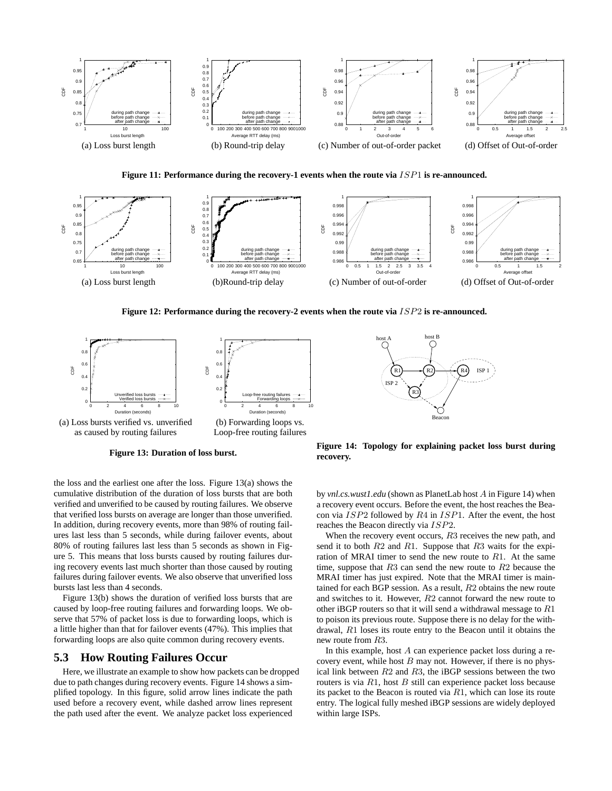

**Figure 11: Performance during the recovery-1 events when the route via** ISP1 **is re-announced.**



**Figure 12: Performance during the recovery-2 events when the route via** ISP2 **is re-announced.**



 $\mathbf{0}$  $\overline{0}$  0.6 0.8 1 0 2 4 6 8 10 Duration (seconds) Loop-free routing failures Forwarding loops

(a) Loss bursts verified vs. unverified (b) Forwarding loops vs. as caused by routing failures Loop-free routing failures

**Figure 13: Duration of loss burst.**

CDF

the loss and the earliest one after the loss. Figure 13(a) shows the cumulative distribution of the duration of loss bursts that are both verified and unverified to be caused by routing failures. We observe that verified loss bursts on average are longer than those unverified. In addition, during recovery events, more than 98% of routing failures last less than 5 seconds, while during failover events, about 80% of routing failures last less than 5 seconds as shown in Figure 5. This means that loss bursts caused by routing failures during recovery events last much shorter than those caused by routing failures during failover events. We also observe that unverified loss bursts last less than 4 seconds.

Figure 13(b) shows the duration of verified loss bursts that are caused by loop-free routing failures and forwarding loops. We observe that 57% of packet loss is due to forwarding loops, which is a little higher than that for failover events (47%). This implies that forwarding loops are also quite common during recovery events.

#### **5.3 How Routing Failures Occur**

Here, we illustrate an example to show how packets can be dropped due to path changes during recovery events. Figure 14 shows a simplified topology. In this figure, solid arrow lines indicate the path used before a recovery event, while dashed arrow lines represent the path used after the event. We analyze packet loss experienced



**Figure 14: Topology for explaining packet loss burst during recovery.**

by *vnl.cs.wust1.edu* (shown as PlanetLab host A in Figure 14) when a recovery event occurs. Before the event, the host reaches the Beacon via  $ISP2$  followed by  $R4$  in  $ISP1$ . After the event, the host reaches the Beacon directly via ISP2.

When the recovery event occurs, R<sub>3</sub> receives the new path, and send it to both  $R2$  and  $R1$ . Suppose that  $R3$  waits for the expiration of MRAI timer to send the new route to R1. At the same time, suppose that  $R3$  can send the new route to  $R2$  because the MRAI timer has just expired. Note that the MRAI timer is maintained for each BGP session. As a result, R2 obtains the new route and switches to it. However, R2 cannot forward the new route to other iBGP routers so that it will send a withdrawal message to R1 to poison its previous route. Suppose there is no delay for the withdrawal, R1 loses its route entry to the Beacon until it obtains the new route from R3.

In this example, host  $A$  can experience packet loss during a recovery event, while host  $B$  may not. However, if there is no physical link between  $R2$  and  $R3$ , the iBGP sessions between the two routers is via  $R1$ , host  $B$  still can experience packet loss because its packet to the Beacon is routed via  $R1$ , which can lose its route entry. The logical fully meshed iBGP sessions are widely deployed within large ISPs.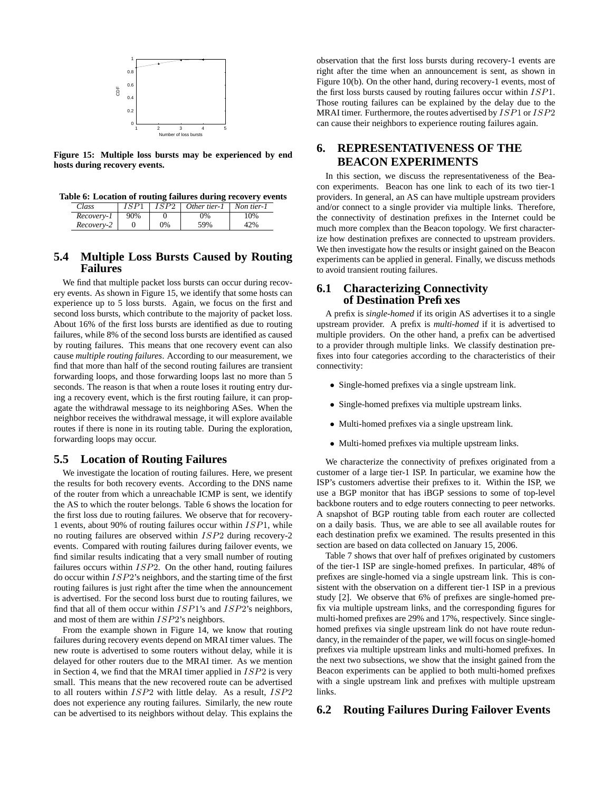

**Figure 15: Multiple loss bursts may be experienced by end hosts during recovery events.**

**Table 6: Location of routing failures during recovery events**

| Class      | I C D1 | LS P2 | Other tier-1 | Non tier-1          |
|------------|--------|-------|--------------|---------------------|
| Recovery-1 | 90%    |       | 0%           | 10%                 |
| Recovery-2 |        | 0%    | 59%          | $\cdot \gamma_{\%}$ |

## **5.4 Multiple Loss Bursts Caused by Routing Failures**

We find that multiple packet loss bursts can occur during recovery events. As shown in Figure 15, we identify that some hosts can experience up to 5 loss bursts. Again, we focus on the first and second loss bursts, which contribute to the majority of packet loss. About 16% of the first loss bursts are identified as due to routing failures, while 8% of the second loss bursts are identified as caused by routing failures. This means that one recovery event can also cause *multiple routing failures*. According to our measurement, we find that more than half of the second routing failures are transient forwarding loops, and those forwarding loops last no more than 5 seconds. The reason is that when a route loses it routing entry during a recovery event, which is the first routing failure, it can propagate the withdrawal message to its neighboring ASes. When the neighbor receives the withdrawal message, it will explore available routes if there is none in its routing table. During the exploration, forwarding loops may occur.

#### **5.5 Location of Routing Failures**

We investigate the location of routing failures. Here, we present the results for both recovery events. According to the DNS name of the router from which a unreachable ICMP is sent, we identify the AS to which the router belongs. Table 6 shows the location for the first loss due to routing failures. We observe that for recovery-1 events, about 90% of routing failures occur within ISP1, while no routing failures are observed within ISP2 during recovery-2 events. Compared with routing failures during failover events, we find similar results indicating that a very small number of routing failures occurs within ISP2. On the other hand, routing failures do occur within ISP2's neighbors, and the starting time of the first routing failures is just right after the time when the announcement is advertised. For the second loss burst due to routing failures, we find that all of them occur within  $ISP1$ 's and  $ISP2$ 's neighbors, and most of them are within ISP2's neighbors.

From the example shown in Figure 14, we know that routing failures during recovery events depend on MRAI timer values. The new route is advertised to some routers without delay, while it is delayed for other routers due to the MRAI timer. As we mention in Section 4, we find that the MRAI timer applied in  $ISP2$  is very small. This means that the new recovered route can be advertised to all routers within ISP2 with little delay. As a result, ISP2 does not experience any routing failures. Similarly, the new route can be advertised to its neighbors without delay. This explains the

observation that the first loss bursts during recovery-1 events are right after the time when an announcement is sent, as shown in Figure 10(b). On the other hand, during recovery-1 events, most of the first loss bursts caused by routing failures occur within ISP1. Those routing failures can be explained by the delay due to the MRAI timer. Furthermore, the routes advertised by  $ISP1$  or  $ISP2$ can cause their neighbors to experience routing failures again.

## **6. REPRESENTATIVENESS OF THE BEACON EXPERIMENTS**

In this section, we discuss the representativeness of the Beacon experiments. Beacon has one link to each of its two tier-1 providers. In general, an AS can have multiple upstream providers and/or connect to a single provider via multiple links. Therefore, the connectivity of destination prefixes in the Internet could be much more complex than the Beacon topology. We first characterize how destination prefixes are connected to upstream providers. We then investigate how the results or insight gained on the Beacon experiments can be applied in general. Finally, we discuss methods to avoid transient routing failures.

## **6.1 Characterizing Connectivity of Destination Prefixes**

A prefix is *single-homed* if its origin AS advertises it to a single upstream provider. A prefix is *multi-homed* if it is advertised to multiple providers. On the other hand, a prefix can be advertised to a provider through multiple links. We classify destination prefixes into four categories according to the characteristics of their connectivity:

- Single-homed prefixes via a single upstream link.
- Single-homed prefixes via multiple upstream links.
- Multi-homed prefixes via a single upstream link.
- Multi-homed prefixes via multiple upstream links.

We characterize the connectivity of prefixes originated from a customer of a large tier-1 ISP. In particular, we examine how the ISP's customers advertise their prefixes to it. Within the ISP, we use a BGP monitor that has iBGP sessions to some of top-level backbone routers and to edge routers connecting to peer networks. A snapshot of BGP routing table from each router are collected on a daily basis. Thus, we are able to see all available routes for each destination prefix we examined. The results presented in this section are based on data collected on January 15, 2006.

Table 7 shows that over half of prefixes originated by customers of the tier-1 ISP are single-homed prefixes. In particular, 48% of prefixes are single-homed via a single upstream link. This is consistent with the observation on a different tier-1 ISP in a previous study [2]. We observe that 6% of prefixes are single-homed prefix via multiple upstream links, and the corresponding figures for multi-homed prefixes are 29% and 17%, respectively. Since singlehomed prefixes via single upstream link do not have route redundancy, in the remainder of the paper, we will focus on single-homed prefixes via multiple upstream links and multi-homed prefixes. In the next two subsections, we show that the insight gained from the Beacon experiments can be applied to both multi-homed prefixes with a single upstream link and prefixes with multiple upstream links.

#### **6.2 Routing Failures During Failover Events**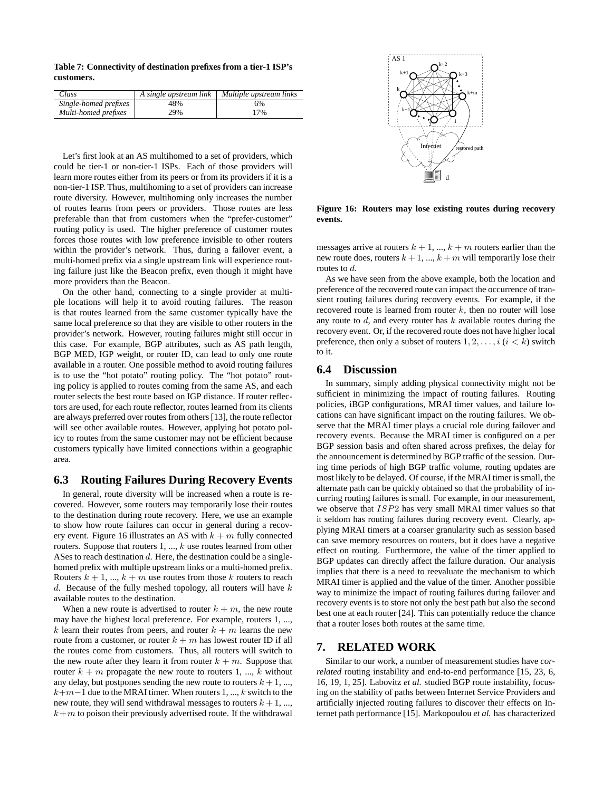**Table 7: Connectivity of destination prefixes from a tier-1 ISP's customers.**

| Class                 | A single upstream link | Multiple upstream links |
|-----------------------|------------------------|-------------------------|
| Single-homed prefixes | 48%                    | 6%                      |
| Multi-homed prefixes  | 29%                    | 17%                     |

Let's first look at an AS multihomed to a set of providers, which could be tier-1 or non-tier-1 ISPs. Each of those providers will learn more routes either from its peers or from its providers if it is a non-tier-1 ISP. Thus, multihoming to a set of providers can increase route diversity. However, multihoming only increases the number of routes learns from peers or providers. Those routes are less preferable than that from customers when the "prefer-customer" routing policy is used. The higher preference of customer routes forces those routes with low preference invisible to other routers within the provider's network. Thus, during a failover event, a multi-homed prefix via a single upstream link will experience routing failure just like the Beacon prefix, even though it might have more providers than the Beacon.

On the other hand, connecting to a single provider at multiple locations will help it to avoid routing failures. The reason is that routes learned from the same customer typically have the same local preference so that they are visible to other routers in the provider's network. However, routing failures might still occur in this case. For example, BGP attributes, such as AS path length, BGP MED, IGP weight, or router ID, can lead to only one route available in a router. One possible method to avoid routing failures is to use the "hot potato" routing policy. The "hot potato" routing policy is applied to routes coming from the same AS, and each router selects the best route based on IGP distance. If router reflectors are used, for each route reflector, routes learned from its clients are always preferred over routes from others [13], the route reflector will see other available routes. However, applying hot potato policy to routes from the same customer may not be efficient because customers typically have limited connections within a geographic area.

#### **6.3 Routing Failures During Recovery Events**

In general, route diversity will be increased when a route is recovered. However, some routers may temporarily lose their routes to the destination during route recovery. Here, we use an example to show how route failures can occur in general during a recovery event. Figure 16 illustrates an AS with  $k + m$  fully connected routers. Suppose that routers 1, ..., k use routes learned from other ASes to reach destination  $d$ . Here, the destination could be a singlehomed prefix with multiple upstream links or a multi-homed prefix. Routers  $k + 1, ..., k + m$  use routes from those k routers to reach  $d.$  Because of the fully meshed topology, all routers will have  $k$ available routes to the destination.

When a new route is advertised to router  $k + m$ , the new route may have the highest local preference. For example, routers 1, ..., k learn their routes from peers, and router  $k + m$  learns the new route from a customer, or router  $k + m$  has lowest router ID if all the routes come from customers. Thus, all routers will switch to the new route after they learn it from router  $k + m$ . Suppose that router  $k + m$  propagate the new route to routers 1, ..., k without any delay, but postpones sending the new route to routers  $k + 1, \dots$ ,  $k+m-1$  due to the MRAI timer. When routers 1, ..., k switch to the new route, they will send withdrawal messages to routers  $k + 1, \ldots$ ,  $k+m$  to poison their previously advertised route. If the withdrawal



**Figure 16: Routers may lose existing routes during recovery events.**

messages arrive at routers  $k + 1, ..., k + m$  routers earlier than the new route does, routers  $k + 1, ..., k + m$  will temporarily lose their routes to d.

As we have seen from the above example, both the location and preference of the recovered route can impact the occurrence of transient routing failures during recovery events. For example, if the recovered route is learned from router  $k$ , then no router will lose any route to  $d$ , and every router has  $k$  available routes during the recovery event. Or, if the recovered route does not have higher local preference, then only a subset of routers  $1, 2, \ldots, i$  ( $i < k$ ) switch to it.

#### **6.4 Discussion**

In summary, simply adding physical connectivity might not be sufficient in minimizing the impact of routing failures. Routing policies, iBGP configurations, MRAI timer values, and failure locations can have significant impact on the routing failures. We observe that the MRAI timer plays a crucial role during failover and recovery events. Because the MRAI timer is configured on a per BGP session basis and often shared across prefixes, the delay for the announcement is determined by BGP traffic of the session. During time periods of high BGP traffic volume, routing updates are most likely to be delayed. Of course, if the MRAI timer is small, the alternate path can be quickly obtained so that the probability of incurring routing failures is small. For example, in our measurement, we observe that ISP2 has very small MRAI timer values so that it seldom has routing failures during recovery event. Clearly, applying MRAI timers at a coarser granularity such as session based can save memory resources on routers, but it does have a negative effect on routing. Furthermore, the value of the timer applied to BGP updates can directly affect the failure duration. Our analysis implies that there is a need to reevaluate the mechanism to which MRAI timer is applied and the value of the timer. Another possible way to minimize the impact of routing failures during failover and recovery events is to store not only the best path but also the second best one at each router [24]. This can potentially reduce the chance that a router loses both routes at the same time.

#### **7. RELATED WORK**

Similar to our work, a number of measurement studies have *correlated* routing instability and end-to-end performance [15, 23, 6, 16, 19, 1, 25]. Labovitz *et al.* studied BGP route instability, focusing on the stability of paths between Internet Service Providers and artificially injected routing failures to discover their effects on Internet path performance [15]. Markopoulou *et al.* has characterized